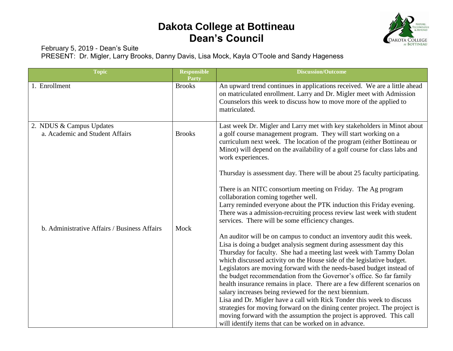

February 5, 2019 - Dean's Suite

PRESENT: Dr. Migler, Larry Brooks, Danny Davis, Lisa Mock, Kayla O'Toole and Sandy Hageness

| <b>Topic</b>                                                                                                | <b>Responsible</b><br><b>Party</b> | <b>Discussion/Outcome</b>                                                                                                                                                                                                                                                                                                                                                                                                                                                                                                                                                                                                                                                                                                                                                                                                                                                                                                                                                                                                                                                                                                                                                                                                                                                                                                                                                                                                                                                                                                                                                                       |
|-------------------------------------------------------------------------------------------------------------|------------------------------------|-------------------------------------------------------------------------------------------------------------------------------------------------------------------------------------------------------------------------------------------------------------------------------------------------------------------------------------------------------------------------------------------------------------------------------------------------------------------------------------------------------------------------------------------------------------------------------------------------------------------------------------------------------------------------------------------------------------------------------------------------------------------------------------------------------------------------------------------------------------------------------------------------------------------------------------------------------------------------------------------------------------------------------------------------------------------------------------------------------------------------------------------------------------------------------------------------------------------------------------------------------------------------------------------------------------------------------------------------------------------------------------------------------------------------------------------------------------------------------------------------------------------------------------------------------------------------------------------------|
| 1. Enrollment                                                                                               | <b>Brooks</b>                      | An upward trend continues in applications received. We are a little ahead<br>on matriculated enrollment. Larry and Dr. Migler meet with Admission<br>Counselors this week to discuss how to move more of the applied to<br>matriculated.                                                                                                                                                                                                                                                                                                                                                                                                                                                                                                                                                                                                                                                                                                                                                                                                                                                                                                                                                                                                                                                                                                                                                                                                                                                                                                                                                        |
| 2. NDUS & Campus Updates<br>a. Academic and Student Affairs<br>b. Administrative Affairs / Business Affairs | <b>Brooks</b><br>Mock              | Last week Dr. Migler and Larry met with key stakeholders in Minot about<br>a golf course management program. They will start working on a<br>curriculum next week. The location of the program (either Bottineau or<br>Minot) will depend on the availability of a golf course for class labs and<br>work experiences.<br>Thursday is assessment day. There will be about 25 faculty participating.<br>There is an NITC consortium meeting on Friday. The Ag program<br>collaboration coming together well.<br>Larry reminded everyone about the PTK induction this Friday evening.<br>There was a admission-recruiting process review last week with student<br>services. There will be some efficiency changes.<br>An auditor will be on campus to conduct an inventory audit this week.<br>Lisa is doing a budget analysis segment during assessment day this<br>Thursday for faculty. She had a meeting last week with Tammy Dolan<br>which discussed activity on the House side of the legislative budget.<br>Legislators are moving forward with the needs-based budget instead of<br>the budget recommendation from the Governor's office. So far family<br>health insurance remains in place. There are a few different scenarios on<br>salary increases being reviewed for the next biennium.<br>Lisa and Dr. Migler have a call with Rick Tonder this week to discuss<br>strategies for moving forward on the dining center project. The project is<br>moving forward with the assumption the project is approved. This call<br>will identify items that can be worked on in advance. |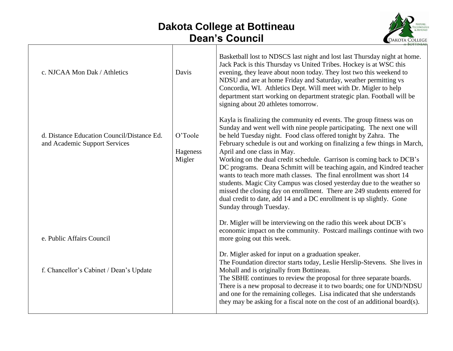

| c. NJCAA Mon Dak / Athletics                                                | Davis                         | Basketball lost to NDSCS last night and lost last Thursday night at home.<br>Jack Pack is this Thursday vs United Tribes. Hockey is at WSC this<br>evening, they leave about noon today. They lost two this weekend to<br>NDSU and are at home Friday and Saturday, weather permitting vs<br>Concordia, WI. Athletics Dept. Will meet with Dr. Migler to help<br>department start working on department strategic plan. Football will be<br>signing about 20 athletes tomorrow.                                                                                                                                                                                                                                                                                                                                   |
|-----------------------------------------------------------------------------|-------------------------------|-------------------------------------------------------------------------------------------------------------------------------------------------------------------------------------------------------------------------------------------------------------------------------------------------------------------------------------------------------------------------------------------------------------------------------------------------------------------------------------------------------------------------------------------------------------------------------------------------------------------------------------------------------------------------------------------------------------------------------------------------------------------------------------------------------------------|
| d. Distance Education Council/Distance Ed.<br>and Academic Support Services | O'Toole<br>Hageness<br>Migler | Kayla is finalizing the community ed events. The group fitness was on<br>Sunday and went well with nine people participating. The next one will<br>be held Tuesday night. Food class offered tonight by Zahra. The<br>February schedule is out and working on finalizing a few things in March,<br>April and one class in May.<br>Working on the dual credit schedule. Garrison is coming back to DCB's<br>DC programs. Deana Schmitt will be teaching again, and Kindred teacher<br>wants to teach more math classes. The final enrollment was short 14<br>students. Magic City Campus was closed yesterday due to the weather so<br>missed the closing day on enrollment. There are 249 students entered for<br>dual credit to date, add 14 and a DC enrollment is up slightly. Gone<br>Sunday through Tuesday. |
| e. Public Affairs Council                                                   |                               | Dr. Migler will be interviewing on the radio this week about DCB's<br>economic impact on the community. Postcard mailings continue with two<br>more going out this week.                                                                                                                                                                                                                                                                                                                                                                                                                                                                                                                                                                                                                                          |
| f. Chancellor's Cabinet / Dean's Update                                     |                               | Dr. Migler asked for input on a graduation speaker.<br>The Foundation director starts today, Leslie Herslip-Stevens. She lives in<br>Mohall and is originally from Bottineau.<br>The SBHE continues to review the proposal for three separate boards.<br>There is a new proposal to decrease it to two boards; one for UND/NDSU<br>and one for the remaining colleges. Lisa indicated that she understands<br>they may be asking for a fiscal note on the cost of an additional board(s).                                                                                                                                                                                                                                                                                                                         |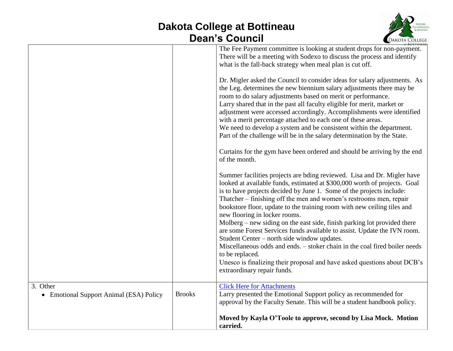

|                                         |               | The Fee Payment committee is looking at student drops for non-payment.<br>There will be a meeting with Sodexo to discuss the process and identify<br>what is the fall-back strategy when meal plan is cut off.<br>Dr. Migler asked the Council to consider ideas for salary adjustments. As<br>the Leg. determines the new biennium salary adjustments there may be<br>room to do salary adjustments based on merit or performance.<br>Larry shared that in the past all faculty eligible for merit, market or<br>adjustment were accessed accordingly. Accomplishments were identified |
|-----------------------------------------|---------------|-----------------------------------------------------------------------------------------------------------------------------------------------------------------------------------------------------------------------------------------------------------------------------------------------------------------------------------------------------------------------------------------------------------------------------------------------------------------------------------------------------------------------------------------------------------------------------------------|
|                                         |               | with a merit percentage attached to each one of these areas.<br>We need to develop a system and be consistent within the department.<br>Part of the challenge will be in the salary determination by the State.                                                                                                                                                                                                                                                                                                                                                                         |
|                                         |               | Curtains for the gym have been ordered and should be arriving by the end<br>of the month.                                                                                                                                                                                                                                                                                                                                                                                                                                                                                               |
|                                         |               | Summer facilities projects are bding reviewed. Lisa and Dr. Migler have<br>looked at available funds, estimated at \$300,000 worth of projects. Goal<br>is to have projects decided by June 1. Some of the projects include:<br>Thatcher – finishing off the men and women's restrooms men, repair<br>bookstore floor, update to the training room with new ceiling tiles and<br>new flooring in locker rooms.                                                                                                                                                                          |
|                                         |               | Molberg – new siding on the east side, finish parking lot provided there<br>are some Forest Services funds available to assist. Update the IVN room.<br>Student Center – north side window updates.                                                                                                                                                                                                                                                                                                                                                                                     |
|                                         |               | Miscellaneous odds and ends. – stoker chain in the coal fired boiler needs<br>to be replaced.<br>Unesco is finalizing their proposal and have asked questions about DCB's<br>extraordinary repair funds.                                                                                                                                                                                                                                                                                                                                                                                |
| 3. Other                                |               | <b>Click Here for Attachments</b>                                                                                                                                                                                                                                                                                                                                                                                                                                                                                                                                                       |
| • Emotional Support Animal (ESA) Policy | <b>Brooks</b> | Larry presented the Emotional Support policy as recommended for<br>approval by the Faculty Senate. This will be a student handbook policy.                                                                                                                                                                                                                                                                                                                                                                                                                                              |
|                                         |               | Moved by Kayla O'Toole to approve, second by Lisa Mock. Motion<br>carried.                                                                                                                                                                                                                                                                                                                                                                                                                                                                                                              |